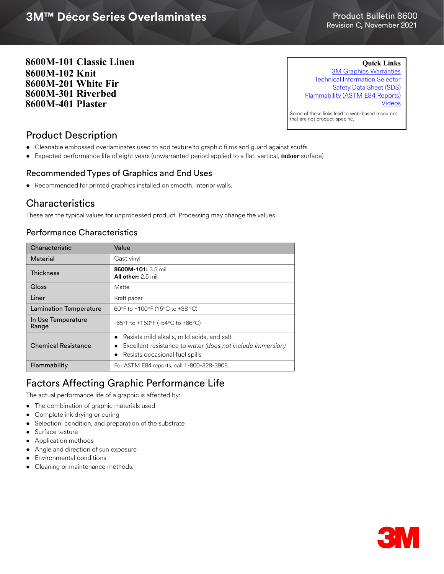# 3M™ Décor Series Overlaminates **3M™ Décor Series Overlaminates**

#### Product Bulletin 8600 Revision C, November 2021

**8600M-101 Classic Linen 8600M-102 Knit 8600M-201 White Fir 8600M-301 Riverbed 8600M-401 Plaster** 

**Quick Links**

[3M Graphics Warranties](http://solutions.3m.com/wps/portal/3M/en_US/Graphics/3Mgraphics/ToolsandSupport/Warranties/?WT.mc_id=www.3mgraphics.com/warranties) [Technical Information Selector](http://solutions.3m.com/wps/portal/3M/en_US/Graphics/3Mgraphics/ToolsAndSupport/TechnicalInformation/) [Safety Data Sheet \(SDS\)](
http://solutions.3m.com/wps/portal/3M/en_WW/MSDS/Search?gsaAction=msdsSRA) [Flammability \(ASTM E84 Reports\)](http://multimedia.3m.com/mws/media/1398156O/3m-decor-overlaminate-8600m-101-astm-e84-16.pdf) [Videos](https://www.youtube.com/c/3MFilms) Some of these links lead to web-based resources

that are not product-specific.

## Product Description

- Cleanable embossed overlaminates used to add texture to graphic films and guard against scuffs
- Expected performance life of eight years (unwarranted period applied to a flat, vertical, **indoor** surface)

### Recommended Types of Graphics and End Uses

• Recommended for printed graphics installed on smooth, interior walls.

### **Characteristics**

These are the typical values for unprocessed product. Processing may change the values.

### Performance Characteristics

| Characteristic                | Value                                                                                                                                                   |
|-------------------------------|---------------------------------------------------------------------------------------------------------------------------------------------------------|
| Material                      | Cast vinyl                                                                                                                                              |
| <b>Thickness</b>              | 8600M-101: 3.5 mil<br><b>All other:</b> 2.5 mil                                                                                                         |
| Gloss                         | Matte                                                                                                                                                   |
| Liner                         | Kraft paper                                                                                                                                             |
| <b>Lamination Temperature</b> | 60°F to +100°F (15°C to +38 °C)                                                                                                                         |
| In Use Temperature<br>Range   | -65°F to +150°F (-54°C to +66°C)                                                                                                                        |
| <b>Chemical Resistance</b>    | Resists mild alkalis, mild acids, and salt<br>Excellent resistance to water (does not include immersion)<br>$\bullet$<br>Resists occasional fuel spills |
| Flammability                  | For ASTM E84 reports, call 1-800-328-3908.                                                                                                              |

## Factors Affecting Graphic Performance Life

The actual performance life of a graphic is affected by:

- The combination of graphic materials used
- Complete ink drying or curing
- Selection, condition, and preparation of the substrate
- Surface texture
- Application methods
- Angle and direction of sun exposure
- Environmental conditions
- Cleaning or maintenance methods.

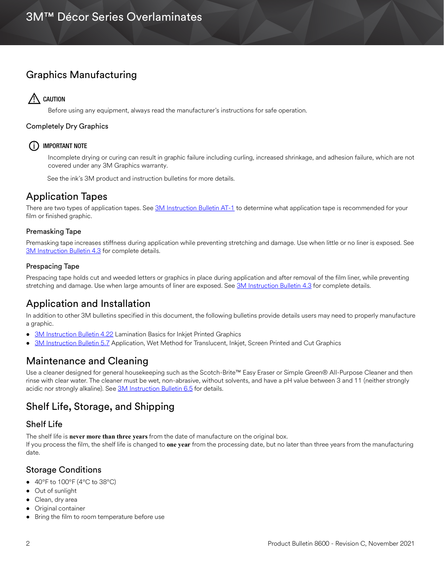# Graphics Manufacturing

# $\bigwedge$  caution

Before using any equipment, always read the manufacturer's instructions for safe operation.

#### Completely Dry Graphics

### (i) IMPORTANT NOTE

Incomplete drying or curing can result in graphic failure including curling, increased shrinkage, and adhesion failure, which are not covered under any 3M Graphics warranty.

See the ink's 3M product and instruction bulletins for more details.

# Application Tapes

There are two types of application tapes. See [3M Instruction Bulletin AT-1](http://multimedia.3m.com/mws/media/1032943O/instruction-bulletin-at-1-application-tables.pdf) to determine what application tape is recommended for your film or finished graphic.

#### Premasking Tape

Premasking tape increases stiffness during application while preventing stretching and damage. Use when little or no liner is exposed. See [3M Instruction Bulletin 4.3](http://multimedia.3m.com/mws/media/12587O/4-3-application-tapes-premasking-and-prespacing.pdf) for complete details.

#### Prespacing Tape

Prespacing tape holds cut and weeded letters or graphics in place during application and after removal of the film liner, while preventing stretching and damage. Use when large amounts of liner are exposed. See [3M Instruction Bulletin 4.3](http://multimedia.3m.com/mws/media/12587O/4-3-application-tapes-premasking-and-prespacing.pdf) for complete details.

# Application and Installation

In addition to other 3M bulletins specified in this document, the following bulletins provide details users may need to properly manufacture a graphic.

- [3M Instruction Bulletin 4.22](http://multimedia.3m.com/mws/media/12768O/4-22-lamination-cold-roll.pdf) Lamination Basics for Inkjet Printed Graphics
- [3M Instruction Bulletin 5.7](http://multimedia.3m.com/mws/media/9621O/instruction-bulletin-5-7.pdf) Application, Wet Method for Translucent, Inkjet, Screen Printed and Cut Graphics

## Maintenance and Cleaning

Use a cleaner designed for general housekeeping such as the Scotch-Brite™ Easy Eraser or Simple Green® All-Purpose Cleaner and then rinse with clear water. The cleaner must be wet, non-abrasive, without solvents, and have a pH value between 3 and 11 (neither strongly acidic nor strongly alkaline). See [3M Instruction Bulletin 6.5](http://multimedia.3m.com/mws/media/12593O/6-5-storage-handling-maintenance-removal-of-films-sheetings.pdf) for details.

## Shelf Life, Storage, and Shipping

### Shelf Life

The shelf life is **never more than three years** from the date of manufacture on the original box.

If you process the film, the shelf life is changed to **one year** from the processing date, but no later than three years from the manufacturing date.

### Storage Conditions

- $\bullet$  40°F to 100°F (4°C to 38°C)
- Out of sunlight
- Clean, dry area
- Original container
- Bring the film to room temperature before use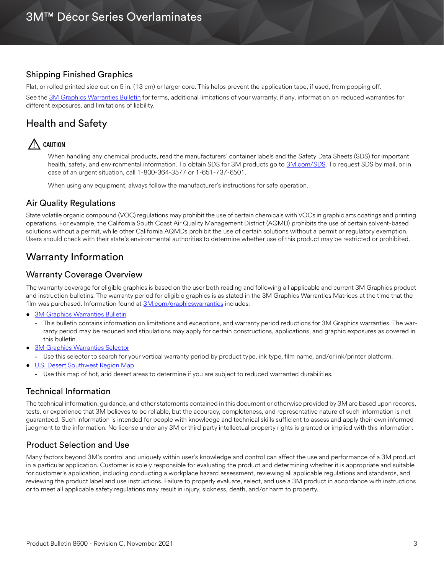### Shipping Finished Graphics

Flat, or rolled printed side out on 5 in. (13 cm) or larger core. This helps prevent the application tape, if used, from popping off.

See the [3M Graphics Warranties Bulletin](https://multimedia.3m.com/mws/media/1034875O/3m-graphics-warranty-bulletin.pdf?fn=Warranty%20Bulletin.pdf) for terms, additional limitations of your warranty, if any, information on reduced warranties for different exposures, and limitations of liability.

# Health and Safety

## $\bigwedge$  caution

When handling any chemical products, read the manufacturers' container labels and the Safety Data Sheets (SDS) for important health, safety, and environmental information. To obtain SDS for 3M products go to [3M.com/SDS](http://www.3m.com/SDS). To request SDS by mail, or in case of an urgent situation, call 1-800-364-3577 or 1-651-737-6501.

When using any equipment, always follow the manufacturer's instructions for safe operation.

### Air Quality Regulations

State volatile organic compound (VOC) regulations may prohibit the use of certain chemicals with VOCs in graphic arts coatings and printing operations. For example, the California South Coast Air Quality Management District (AQMD) prohibits the use of certain solvent-based solutions without a permit, while other California AQMDs prohibit the use of certain solutions without a permit or regulatory exemption. Users should check with their state's environmental authorities to determine whether use of this product may be restricted or prohibited.

## Warranty Information

#### Warranty Coverage Overview

The warranty coverage for eligible graphics is based on the user both reading and following all applicable and current 3M Graphics product and instruction bulletins. The warranty period for eligible graphics is as stated in the 3M Graphics Warranties Matrices at the time that the film was purchased. Information found at [3M.com/graphicswarranties](www.3m.com/graphicswarranties) includes:

- [3M Graphics Warranties Bulletin](http://multimedia.3m.com/mws/media/1034875O/3mtm-graphics-warranty-bulletin.pdf?fn=Warranty_Bulletin.pdf)
	- **-** This bulletin contains information on limitations and exceptions, and warranty period reductions for 3M Graphics warranties. The warranty period may be reduced and stipulations may apply for certain constructions, applications, and graphic exposures as covered in this bulletin.
- [3M Graphics Warranties Selector](http://solutions.3m.com/wps/portal/3M/en_US/Graphics/3Mgraphics/ToolsAndSupport/Warranties/?PC_Z7_RJH9U5230GE3E02LECFTDQ02P3000000_assetType=MMM_Article&PC_Z7_RJH9U5230GE3E02LECFTDQ02P3000000_assetId=1114269959113&PC_Z7_RJH9U5230GE3E02LECFTDQ02P3000000_univid=1114269959113#Z7_RJH9U5230GE3E02LECFTDQ02P3)
	- **-** Use this selector to search for your vertical warranty period by product type, ink type, film name, and/or ink/printer platform.
- [U.S. Desert Southwest Region Map](http://multimedia.3m.com/mws/media/307873O/desert-southwest-region-defined.pdf?fn=Map_DSW.pdf)
	- **-** Use this map of hot, arid desert areas to determine if you are subject to reduced warranted durabilities.

#### Technical Information

The technical information, guidance, and other statements contained in this document or otherwise provided by 3M are based upon records, tests, or experience that 3M believes to be reliable, but the accuracy, completeness, and representative nature of such information is not guaranteed. Such information is intended for people with knowledge and technical skills sufficient to assess and apply their own informed judgment to the information. No license under any 3M or third party intellectual property rights is granted or implied with this information.

### Product Selection and Use

Many factors beyond 3M's control and uniquely within user's knowledge and control can affect the use and performance of a 3M product in a particular application. Customer is solely responsible for evaluating the product and determining whether it is appropriate and suitable for customer's application, including conducting a workplace hazard assessment, reviewing all applicable regulations and standards, and reviewing the product label and use instructions. Failure to properly evaluate, select, and use a 3M product in accordance with instructions or to meet all applicable safety regulations may result in injury, sickness, death, and/or harm to property.